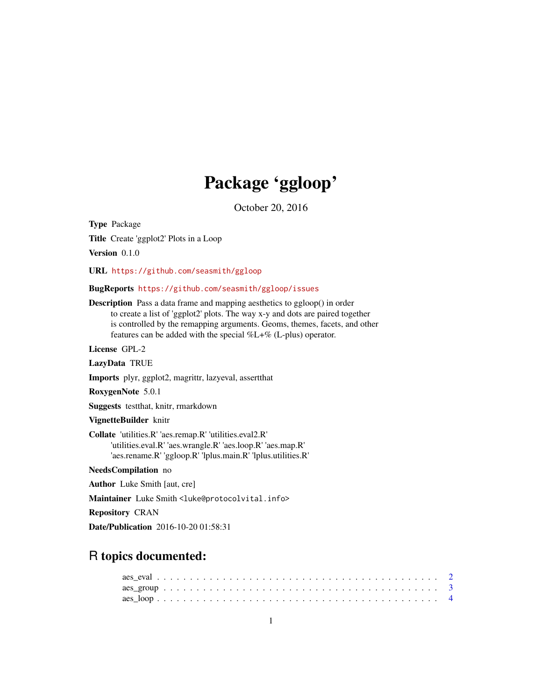# Package 'ggloop'

October 20, 2016

Type Package Title Create 'ggplot2' Plots in a Loop Version 0.1.0

URL <https://github.com/seasmith/ggloop>

# BugReports <https://github.com/seasmith/ggloop/issues>

Description Pass a data frame and mapping aesthetics to ggloop() in order to create a list of 'ggplot2' plots. The way x-y and dots are paired together is controlled by the remapping arguments. Geoms, themes, facets, and other features can be added with the special %L+% (L-plus) operator.

License GPL-2

LazyData TRUE

Imports plyr, ggplot2, magrittr, lazyeval, assertthat

RoxygenNote 5.0.1

Suggests testthat, knitr, rmarkdown

VignetteBuilder knitr

Collate 'utilities.R' 'aes.remap.R' 'utilities.eval2.R' 'utilities.eval.R' 'aes.wrangle.R' 'aes.loop.R' 'aes.map.R' 'aes.rename.R' 'ggloop.R' 'lplus.main.R' 'lplus.utilities.R'

NeedsCompilation no

Author Luke Smith [aut, cre]

Maintainer Luke Smith <luke@protocolvital.info>

Repository CRAN

Date/Publication 2016-10-20 01:58:31

# R topics documented: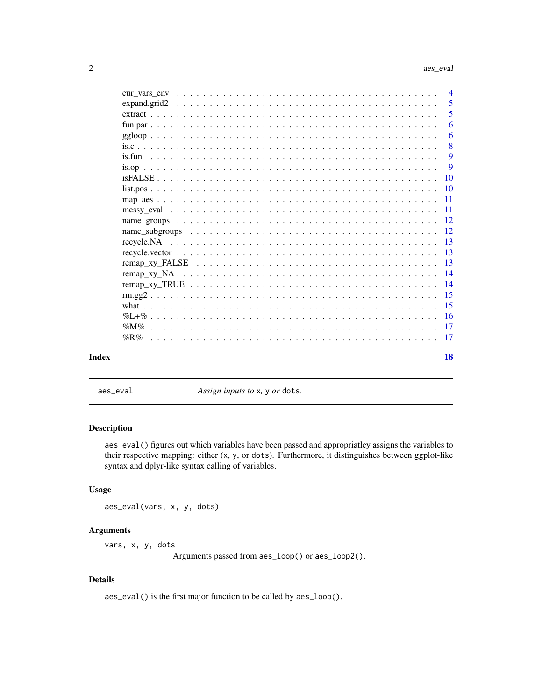<span id="page-1-0"></span>

|       |             | $\overline{4}$ |
|-------|-------------|----------------|
|       |             | -5             |
|       |             | - 5            |
|       |             | 6              |
|       | $ggloop$    | 6              |
|       |             | 8              |
|       |             | 9              |
|       |             | $\mathbf{Q}$   |
|       |             |                |
|       |             |                |
|       |             |                |
|       |             |                |
|       |             |                |
|       |             |                |
|       |             |                |
|       |             |                |
|       |             |                |
|       |             |                |
|       |             |                |
|       |             |                |
|       |             |                |
|       |             |                |
|       |             |                |
|       | $\%$ R $\%$ |                |
| Index |             | 18             |

aes\_eval *Assign inputs to* x*,* y *or* dots*.*

# Description

aes\_eval() figures out which variables have been passed and appropriatley assigns the variables to their respective mapping: either (x, y, or dots). Furthermore, it distinguishes between ggplot-like syntax and dplyr-like syntax calling of variables.

# Usage

aes\_eval(vars, x, y, dots)

# Arguments

vars, x, y, dots

Arguments passed from aes\_loop() or aes\_loop2().

# Details

aes\_eval() is the first major function to be called by aes\_loop().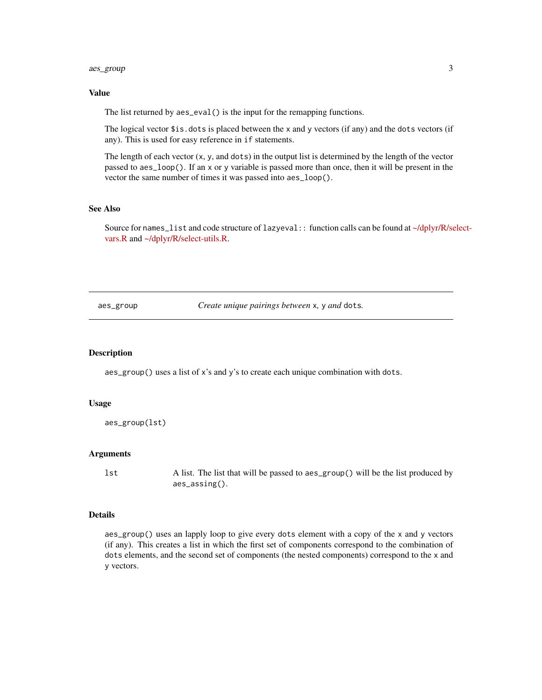# <span id="page-2-0"></span>aes\_group 3

# Value

The list returned by aes\_eval() is the input for the remapping functions.

The logical vector \$is.dots is placed between the x and y vectors (if any) and the dots vectors (if any). This is used for easy reference in if statements.

The length of each vector  $(x, y,$  and dots) in the output list is determined by the length of the vector passed to aes\_loop(). If an x or y variable is passed more than once, then it will be present in the vector the same number of times it was passed into aes\_loop().

# See Also

Source for names\_list and code structure of lazyeval: function calls can be found at [~/dplyr/R/se](https://github.com/hadley/dplyr/blob/master/R/select-utils.R)lect[vars.R](https://github.com/hadley/dplyr/blob/master/R/select-utils.R) and [~/dplyr/R/select-utils.R.](https://github.com/hadley/dplyr/blob/master/R/select-utils.R)

aes\_group *Create unique pairings between* x*,* y *and* dots*.*

#### Description

aes\_group() uses a list of x's and y's to create each unique combination with dots.

#### Usage

```
aes_group(lst)
```
#### **Arguments**

lst A list. The list that will be passed to aes\_group() will be the list produced by aes\_assing().

# Details

aes\_group() uses an lapply loop to give every dots element with a copy of the x and y vectors (if any). This creates a list in which the first set of components correspond to the combination of dots elements, and the second set of components (the nested components) correspond to the x and y vectors.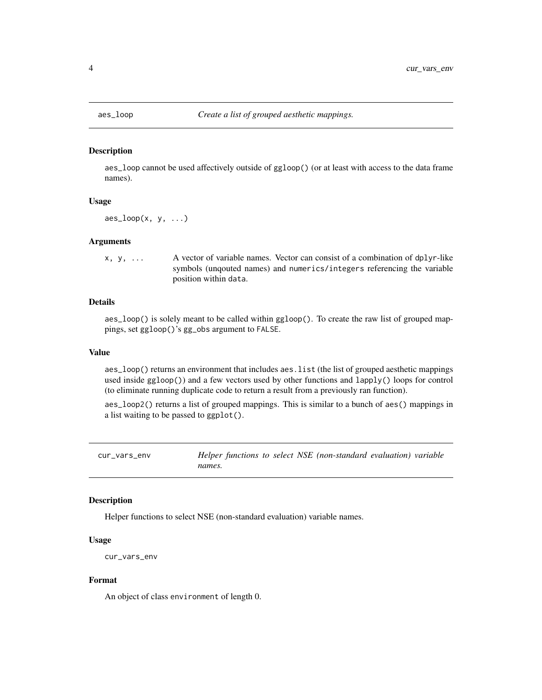<span id="page-3-0"></span>

aes\_loop cannot be used affectively outside of ggloop() (or at least with access to the data frame names).

#### Usage

 $\text{aes\_loop}(x, y, \ldots)$ 

# **Arguments**

x, y, ... A vector of variable names. Vector can consist of a combination of dplyr-like symbols (unqouted names) and numerics/integers referencing the variable position within data.

# Details

aes\_loop() is solely meant to be called within ggloop(). To create the raw list of grouped mappings, set ggloop()'s gg\_obs argument to FALSE.

#### Value

aes\_loop() returns an environment that includes aes.list (the list of grouped aesthetic mappings used inside ggloop()) and a few vectors used by other functions and lapply() loops for control (to eliminate running duplicate code to return a result from a previously ran function).

aes\_loop2() returns a list of grouped mappings. This is similar to a bunch of aes() mappings in a list waiting to be passed to ggplot().

cur\_vars\_env *Helper functions to select NSE (non-standard evaluation) variable names.*

# **Description**

Helper functions to select NSE (non-standard evaluation) variable names.

#### Usage

```
cur_vars_env
```
# Format

An object of class environment of length 0.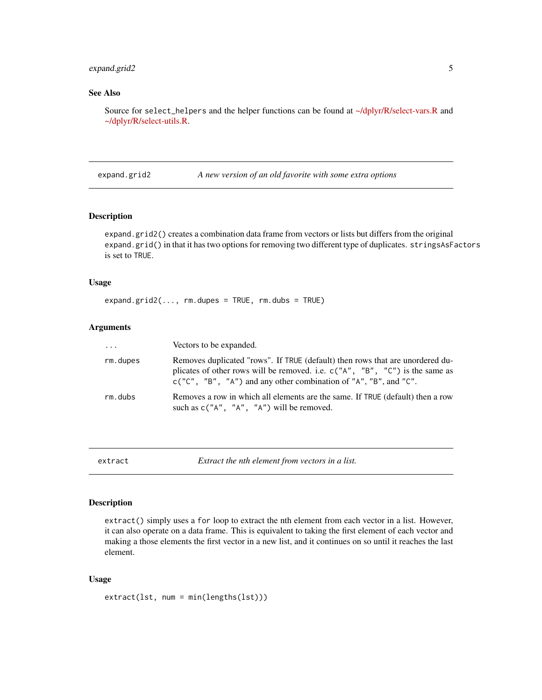# <span id="page-4-0"></span>expand.grid2 5

# See Also

Source for select\_helpers and the helper functions can be found at [~/dplyr/R/select-vars.R](https://github.com/hadley/dplyr/blob/master/R/select-utils.R) and [~/dplyr/R/select-utils.R.](https://github.com/hadley/dplyr/blob/master/R/select-utils.R)

expand.grid2 *A new version of an old favorite with some extra options*

# Description

expand.grid2() creates a combination data frame from vectors or lists but differs from the original expand.grid() in that it has two options for removing two different type of duplicates. stringsAsFactors is set to TRUE.

# Usage

```
expand.grid2(..., rm.dupes = TRUE, rm.dubs = TRUE)
```
# Arguments

| $\cdots$ | Vectors to be expanded.                                                                                                                                                                                                               |
|----------|---------------------------------------------------------------------------------------------------------------------------------------------------------------------------------------------------------------------------------------|
| rm.dupes | Removes duplicated "rows". If TRUE (default) then rows that are unordered du-<br>plicates of other rows will be removed. i.e. $c("A", "B", "C")$ is the same as<br>$c("C", "B", "A")$ and any other combination of "A", "B", and "C". |
| rm.dubs  | Removes a row in which all elements are the same. If TRUE (default) then a row<br>such as $c("A", "A", "A")$ will be removed.                                                                                                         |

extract *Extract the nth element from vectors in a list.*

#### Description

extract() simply uses a for loop to extract the nth element from each vector in a list. However, it can also operate on a data frame. This is equivalent to taking the first element of each vector and making a those elements the first vector in a new list, and it continues on so until it reaches the last element.

# Usage

```
extract(lst, num = min(lengths(lst)))
```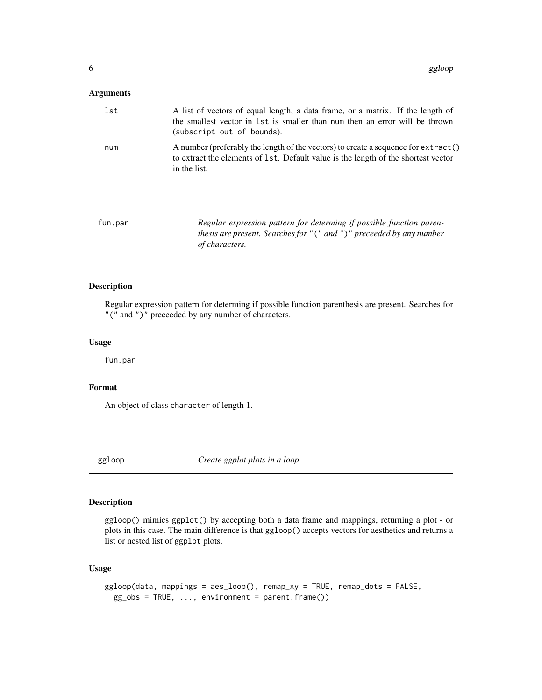# <span id="page-5-0"></span>Arguments

| lst | A list of vectors of equal length, a data frame, or a matrix. If the length of<br>the smallest vector in 1st is smaller than num then an error will be thrown<br>(subscript out of bounds). |
|-----|---------------------------------------------------------------------------------------------------------------------------------------------------------------------------------------------|
| num | A number (preferably the length of the vectors) to create a sequence for extract()<br>to extract the elements of 1st. Default value is the length of the shortest vector<br>in the list.    |

| fun.par | Regular expression pattern for determing if possible function paren-        |
|---------|-----------------------------------------------------------------------------|
|         | thesis are present. Searches for " $('$ and " $')'$ preceeded by any number |
|         | of characters.                                                              |

# Description

Regular expression pattern for determing if possible function parenthesis are present. Searches for "(" and ")" preceeded by any number of characters.

#### Usage

fun.par

#### Format

An object of class character of length 1.

ggloop *Create ggplot plots in a loop.*

# Description

ggloop() mimics ggplot() by accepting both a data frame and mappings, returning a plot - or plots in this case. The main difference is that ggloop() accepts vectors for aesthetics and returns a list or nested list of ggplot plots.

# Usage

```
ggloop(data, mappings = aes_loop(), remap_xy = TRUE, remap_dots = FALSE,
 gg\_obs = TRUE, ..., environment = parent-frame())
```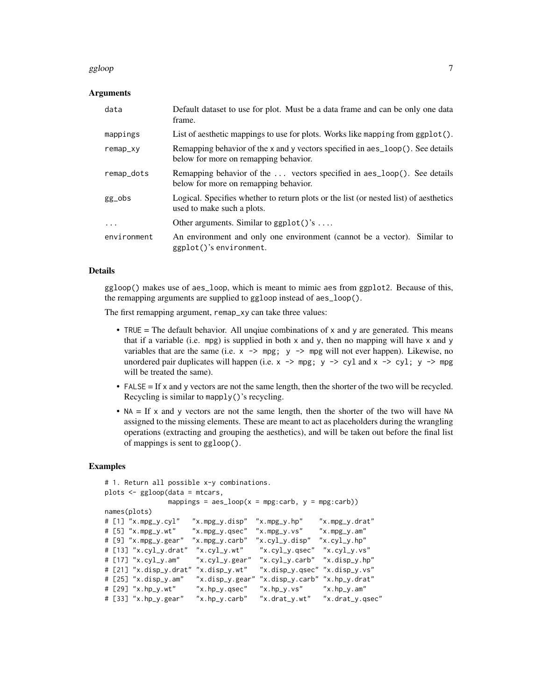#### ggloop 2008 - 2009 - 2009 - 2009 - 2009 - 2009 - 2009 - 2009 - 2009 - 2009 - 2009 - 2009 - 2009 - 2009 - 2009

### Arguments

| data        | Default dataset to use for plot. Must be a data frame and can be only one data<br>frame.                                |
|-------------|-------------------------------------------------------------------------------------------------------------------------|
| mappings    | List of aesthetic mappings to use for plots. Works like mapping from $ggplot()$ .                                       |
| remap_xy    | Remapping behavior of the x and y vectors specified in aes_loop(). See details<br>below for more on remapping behavior. |
| remap_dots  | Remapping behavior of the  vectors specified in a es_loop(). See details<br>below for more on remapping behavior.       |
| gg_obs      | Logical. Specifies whether to return plots or the list (or nested list) of aesthetics<br>used to make such a plots.     |
| $\ddotsc$   | Other arguments. Similar to $ggplot()$ 's                                                                               |
| environment | An environment and only one environment (cannot be a vector). Similar to<br>ggplot()'s environment.                     |

#### Details

ggloop() makes use of aes\_loop, which is meant to mimic aes from ggplot2. Because of this, the remapping arguments are supplied to ggloop instead of aes\_loop().

The first remapping argument, remap\_xy can take three values:

- TRUE = The default behavior. All unqiue combinations of  $x$  and  $y$  are generated. This means that if a variable (i.e. mpg) is supplied in both  $x$  and  $y$ , then no mapping will have  $x$  and  $y$ variables that are the same (i.e.  $x \rightarrow \text{mpg}$ ;  $y \rightarrow \text{mpg}$  will not ever happen). Likewise, no unordered pair duplicates will happen (i.e.  $x \rightarrow mpg$ ;  $y \rightarrow cyl$  and  $x \rightarrow cyl$ ;  $y \rightarrow mpg$ will be treated the same).
- FALSE = If x and y vectors are not the same length, then the shorter of the two will be recycled. Recycling is similar to mapply()'s recycling.
- $NA = If x$  and y vectors are not the same length, then the shorter of the two will have NA assigned to the missing elements. These are meant to act as placeholders during the wrangling operations (extracting and grouping the aesthetics), and will be taken out before the final list of mappings is sent to ggloop().

#### Examples

```
# 1. Return all possible x-y combinations.
plots <- ggloop(data = mtcars,
                   mappings = aes\_loop(x = mpg:carb, y = mpg:carb)names(plots)
# [1] "x.mpg_y.cyl" "x.mpg_y.disp" "x.mpg_y.hp" "x.mpg_y.drat"
# [5] "x.mpg_y.wt"     "x.mpg_y.qsec"   "x.mpg_y.vs"     "x.mpg_y.am"<br># [9] "x.mpg_y.gear"   "x.mpg_y.carb"   "x.cyl_y.disp"   "x.cyl_y.hp"
                                               "x.cyl_y.disp" "x.cyl_y.hp"<br>"x.cyl_y.qsec" "x.cyl_y.vs"
# [13] "x.cyl_y.drat" "x.cyl_y.wt"
# [17] "x.cyl_y.am"  "x.cyl_y.gear" "x.cyl_y.carb" "x.disp_y.hp"<br># [21] "x.disp_y.drat" "x.disp_y.wt"  "x.disp_y.qsec" "x.disp_y.vs"
# [21] "x.disp_y.drat" "x.disp_y.wt"
# [25] "x.disp_y.am" "x.disp_y.gear" "x.disp_y.carb" "x.hp_y.drat"
# [29] "x.hp_y.wt" "x.hp_y.qsec" "x.hp_y.vs" "x.hp_y.am"
# [33] "x.hp_y.gear" "x.hp_y.carb" "x.drat_y.wt" "x.drat_y.qsec"
```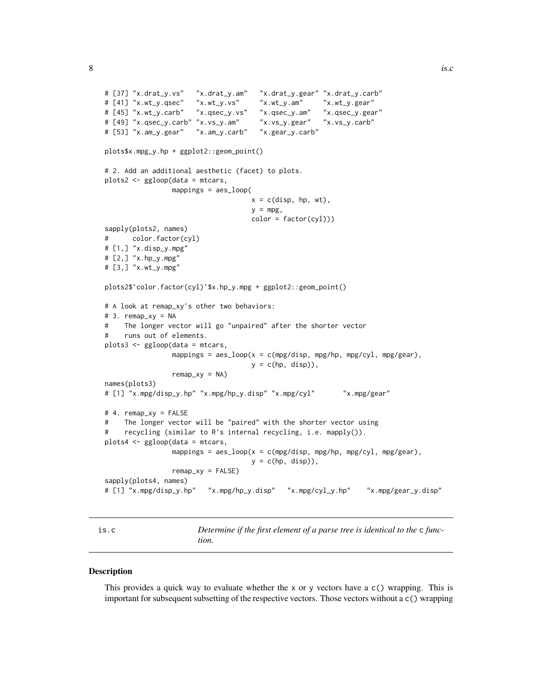```
# [37] "x.drat_y.vs" "x.drat_y.am" "x.drat_y.gear" "x.drat_y.carb"
# [41] "x.wt_y.qsec" "x.wt_y.vs" "x.wt_y.am" "x.wt_y.gear"
# [45] "x.wt_y.carb" "x.qsec_y.vs" "x.qsec_y.am" "x.qsec_y.gear"
# [49] "x.qsec_y.carb" "x.vs_y.am" "x.vs_y.gear" "x.vs_y.carb"
# [53] "x.am_y.gear" "x.am_y.carb" "x.gear_y.carb"
plots$x.mpg_y.hp + ggplot2::geom_point()
# 2. Add an additional aesthetic (facet) to plots.
plots2 <- ggloop(data = mtcars,
                mappings = aes_loop(
                                   x = c(disp, hp, wt),
                                   y = mpg,
                                   color = factor(cyl))sapply(plots2, names)
# color.factor(cyl)
# [1,] "x.disp_y.mpg"
# [2,] "x.hp_y.mpg"
# [3,] "x.wt_y.mpg"
plots2$`color.factor(cyl)`$x.hp_y.mpg + ggplot2::geom_point()
# A look at remap_xy's other two behaviors:
# 3. remap_xy = NA
# The longer vector will go "unpaired" after the shorter vector
# runs out of elements.
plots3 <- ggloop(data = mtcars,
                mappings = aes\_loop(x = c(mpg/disp, mpg/hp, mpg/cyl, mpg/gear),
                                   y = c(hp, disp),
                remap_xy = NAnames(plots3)
# [1] "x.mpg/disp_y.hp" "x.mpg/hp_y.disp" "x.mpg/cyl" "x.mpg/gear"
# 4. remap_xy = FALSE
# The longer vector will be "paired" with the shorter vector using
# recycling (similar to R's internal recycling, i.e. mapply()).
plots4 <- ggloop(data = mtcars,
                mappings = aes\_loop(x = c(mpg/disp, mpg/hp, mpg/cyl, mpg/gear),
                                   y = c(hp, disp),
                remap_xy = FALSEsapply(plots4, names)
# [1] "x.mpg/disp_y.hp" "x.mpg/hp_y.disp" "x.mpg/cyl_y.hp" "x.mpg/gear_y.disp"
```
is.c *Determine if the first element of a parse tree is identical to the* c *function.*

#### Description

This provides a quick way to evaluate whether the x or y vectors have a  $c()$  wrapping. This is important for subsequent subsetting of the respective vectors. Those vectors without a c() wrapping

<span id="page-7-0"></span>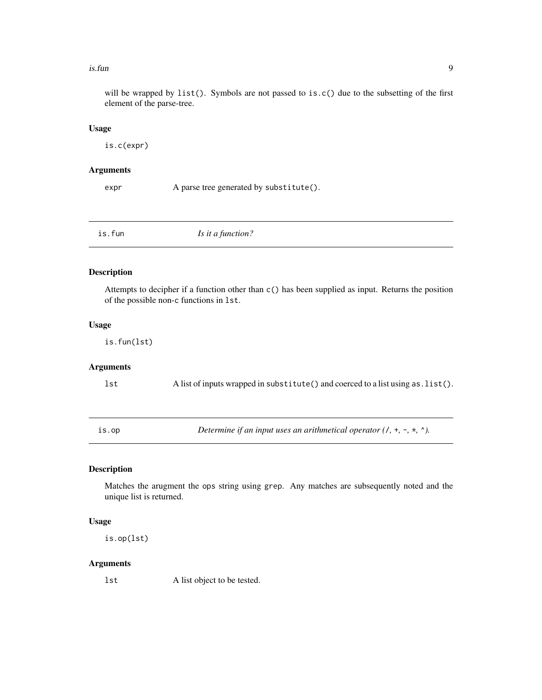#### <span id="page-8-0"></span>is.fun **9**9

will be wrapped by list(). Symbols are not passed to is.c() due to the subsetting of the first element of the parse-tree.

#### Usage

is.c(expr)

# Arguments

expr A parse tree generated by substitute().

is.fun *Is it a function?*

# Description

Attempts to decipher if a function other than c() has been supplied as input. Returns the position of the possible non-c functions in lst.

#### Usage

is.fun(lst)

# Arguments

lst A list of inputs wrapped in substitute() and coerced to a list using as.list().

is.op *Determine if an input uses an arithmetical operator (*/*,* +*,* -*,* \**,* ^*).*

# Description

Matches the arugment the ops string using grep. Any matches are subsequently noted and the unique list is returned.

# Usage

is.op(lst)

# Arguments

lst A list object to be tested.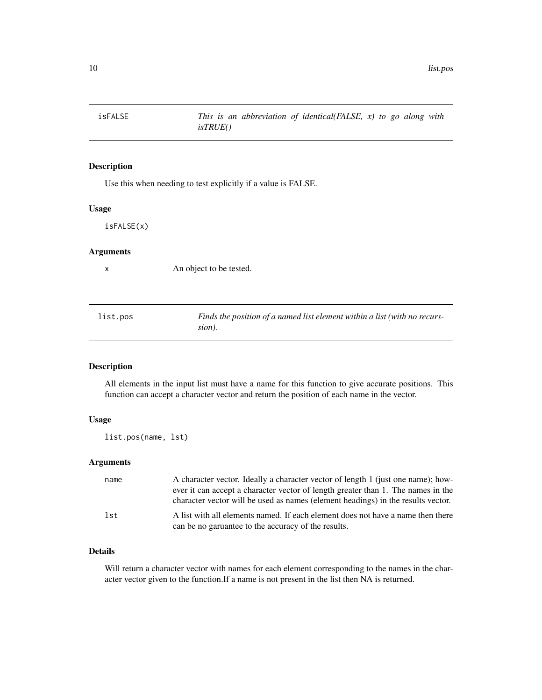<span id="page-9-0"></span>

Use this when needing to test explicitly if a value is FALSE.

# Usage

isFALSE(x)

## Arguments

x An object to be tested.

list.pos *Finds the position of a named list element within a list (with no recurssion).*

# Description

All elements in the input list must have a name for this function to give accurate positions. This function can accept a character vector and return the position of each name in the vector.

# Usage

list.pos(name, lst)

# Arguments

| name | A character vector. Ideally a character vector of length 1 (just one name); how-<br>ever it can accept a character vector of length greater than 1. The names in the |
|------|----------------------------------------------------------------------------------------------------------------------------------------------------------------------|
|      | character vector will be used as names (element headings) in the results vector.                                                                                     |
| lst  | A list with all elements named. If each element does not have a name then there<br>can be no garuantee to the accuracy of the results.                               |

# Details

Will return a character vector with names for each element corresponding to the names in the character vector given to the function.If a name is not present in the list then NA is returned.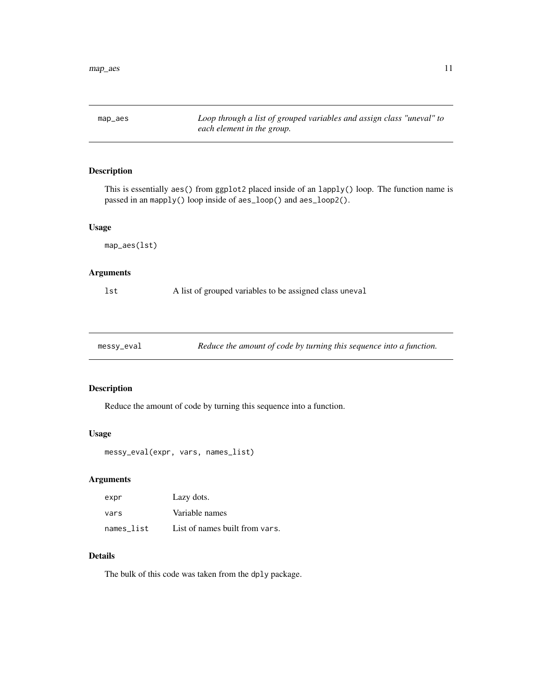<span id="page-10-0"></span>map\_aes *Loop through a list of grouped variables and assign class "uneval" to each element in the group.*

# Description

This is essentially aes() from ggplot2 placed inside of an lapply() loop. The function name is passed in an mapply() loop inside of aes\_loop() and aes\_loop2().

#### Usage

```
map_aes(lst)
```
# Arguments

lst A list of grouped variables to be assigned class uneval

messy\_eval *Reduce the amount of code by turning this sequence into a function.*

# Description

Reduce the amount of code by turning this sequence into a function.

# Usage

messy\_eval(expr, vars, names\_list)

# Arguments

| expr       | Lazy dots.                     |
|------------|--------------------------------|
| vars       | Variable names                 |
| names list | List of names built from vars. |

# Details

The bulk of this code was taken from the dply package.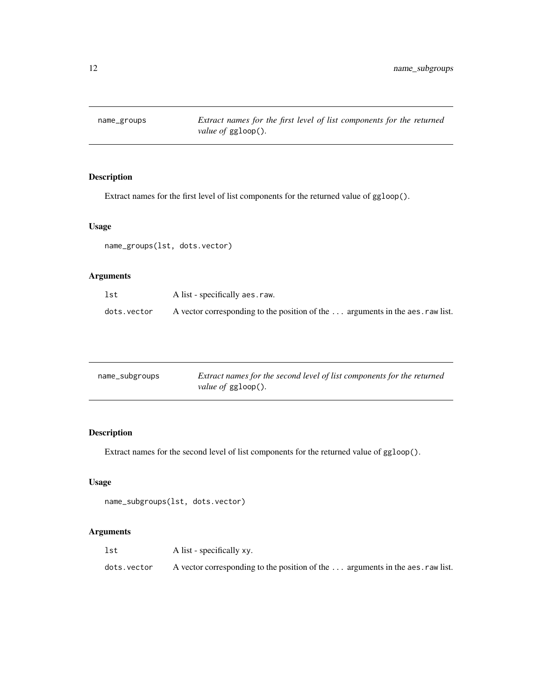<span id="page-11-0"></span>

Extract names for the first level of list components for the returned value of ggloop().

# Usage

name\_groups(lst, dots.vector)

# Arguments

| lst         | A list - specifically aes.raw.                                                 |
|-------------|--------------------------------------------------------------------------------|
| dots.vector | A vector corresponding to the position of the  arguments in the aes. raw list. |

| name_subgroups | Extract names for the second level of list components for the returned |
|----------------|------------------------------------------------------------------------|
|                | <i>value of ggloop().</i>                                              |

# Description

Extract names for the second level of list components for the returned value of ggloop().

# Usage

```
name_subgroups(lst, dots.vector)
```
# Arguments

| lst         | A list - specifically xy.                                                      |
|-------------|--------------------------------------------------------------------------------|
| dots.vector | A vector corresponding to the position of the  arguments in the aes. raw list. |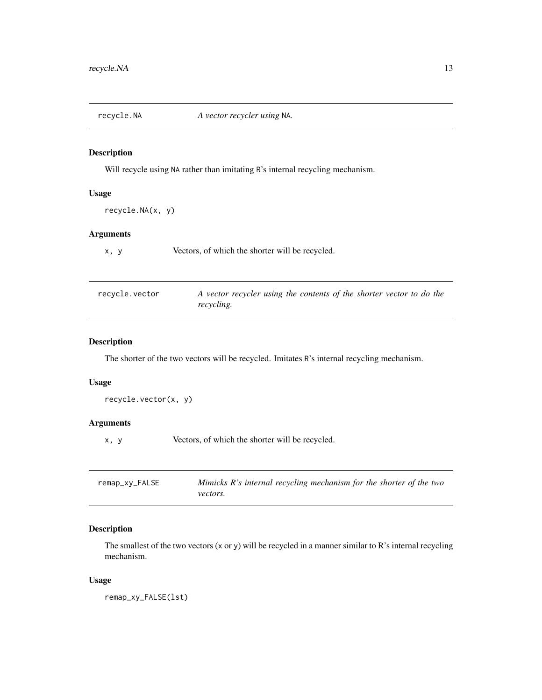<span id="page-12-0"></span>recycle.NA *A vector recycler using* NA*.*

# Description

Will recycle using NA rather than imitating R's internal recycling mechanism.

# Usage

```
recycle.NA(x, y)
```
# Arguments

x, y Vectors, of which the shorter will be recycled.

| recycle.vector | A vector recycler using the contents of the shorter vector to do the |
|----------------|----------------------------------------------------------------------|
|                | recycling.                                                           |

# Description

The shorter of the two vectors will be recycled. Imitates R's internal recycling mechanism.

# Usage

```
recycle.vector(x, y)
```
# Arguments

x, y Vectors, of which the shorter will be recycled.

| remap_xy_FALSE | Mimicks $R$ 's internal recycling mechanism for the shorter of the two |
|----------------|------------------------------------------------------------------------|
|                | <i>vectors.</i>                                                        |

# Description

The smallest of the two vectors (x or y) will be recycled in a manner similar to R's internal recycling mechanism.

# Usage

remap\_xy\_FALSE(lst)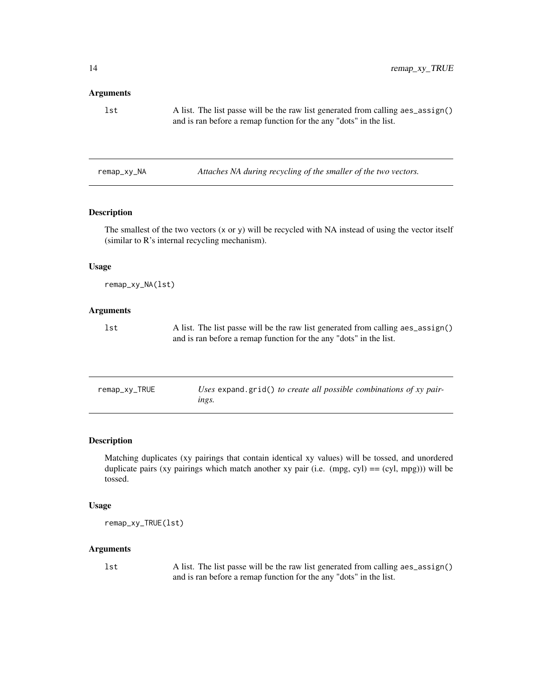#### <span id="page-13-0"></span>Arguments

| lst | A list. The list passe will be the raw list generated from calling aes_assign() |
|-----|---------------------------------------------------------------------------------|
|     | and is ran before a remap function for the any "dots" in the list.              |

remap\_xy\_NA *Attaches NA during recycling of the smaller of the two vectors.*

# Description

The smallest of the two vectors (x or y) will be recycled with NA instead of using the vector itself (similar to R's internal recycling mechanism).

# Usage

remap\_xy\_NA(lst)

# Arguments

lst A list. The list passe will be the raw list generated from calling aes\_assign() and is ran before a remap function for the any "dots" in the list.

| remap_xy_TRUE | Uses expand.grid() to create all possible combinations of xy pair- |
|---------------|--------------------------------------------------------------------|
|               | ings.                                                              |

#### Description

Matching duplicates (xy pairings that contain identical xy values) will be tossed, and unordered duplicate pairs (xy pairings which match another xy pair (i.e.  $(mpg, cyl) = (cyl, mpg))$ ) will be tossed.

# Usage

remap\_xy\_TRUE(lst)

# Arguments

lst A list. The list passe will be the raw list generated from calling aes\_assign() and is ran before a remap function for the any "dots" in the list.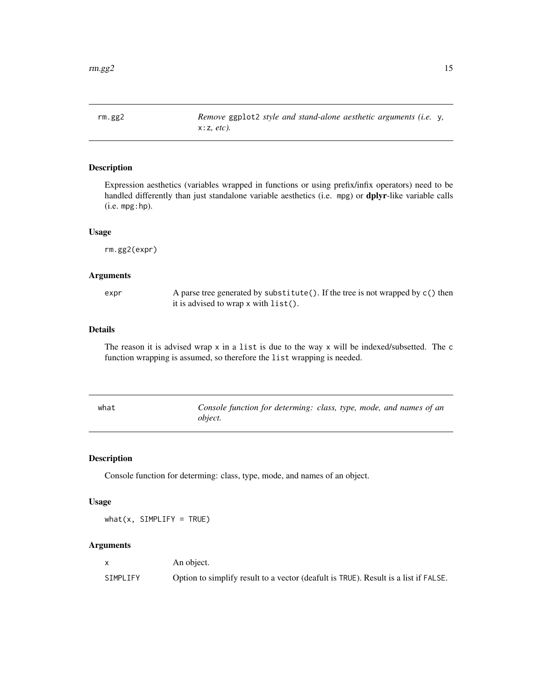<span id="page-14-0"></span>rm.gg2 *Remove* ggplot2 *style and stand-alone aesthetic arguments (i.e.* y*,* x:z*, etc).*

# Description

Expression aesthetics (variables wrapped in functions or using prefix/infix operators) need to be handled differently than just standalone variable aesthetics (i.e. mpg) or dplyr-like variable calls (i.e. mpg:hp).

# Usage

rm.gg2(expr)

#### Arguments

expr A parse tree generated by substitute(). If the tree is not wrapped by c() then it is advised to wrap x with list().

# Details

The reason it is advised wrap x in a list is due to the way x will be indexed/subsetted. The c function wrapping is assumed, so therefore the list wrapping is needed.

| what | Console function for determing: class, type, mode, and names of an |  |  |
|------|--------------------------------------------------------------------|--|--|
|      | obiect.                                                            |  |  |

# Description

Console function for determing: class, type, mode, and names of an object.

#### Usage

 $what(x, SIMPLIFY = TRUE)$ 

#### Arguments

|          | An object.                                                                          |
|----------|-------------------------------------------------------------------------------------|
| SIMPLIFY | Option to simplify result to a vector (deafult is TRUE). Result is a list if FALSE. |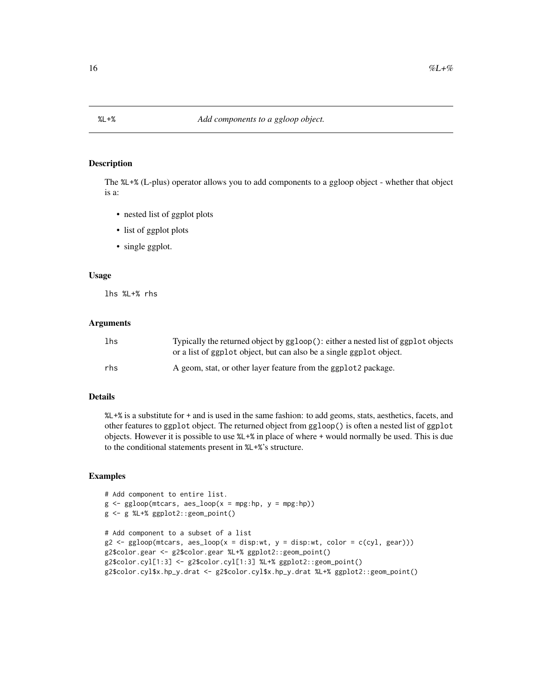<span id="page-15-0"></span>

The %L+% (L-plus) operator allows you to add components to a ggloop object - whether that object is a:

- nested list of ggplot plots
- list of ggplot plots
- single ggplot.

#### Usage

lhs %L+% rhs

#### Arguments

| lhs | Typically the returned object by ggloop(): either a nested list of ggplot objects<br>or a list of ggplot object, but can also be a single ggplot object. |
|-----|----------------------------------------------------------------------------------------------------------------------------------------------------------|
| rhs | A geom, stat, or other layer feature from the ggplot2 package.                                                                                           |

# Details

%L+% is a substitute for + and is used in the same fashion: to add geoms, stats, aesthetics, facets, and other features to ggplot object. The returned object from ggloop() is often a nested list of ggplot objects. However it is possible to use %L+% in place of where + would normally be used. This is due to the conditional statements present in %L+%'s structure.

# Examples

```
# Add component to entire list.
g \leftarrow ggloop(mtcars, aes\_loop(x = mp; hp, y = mp; hp))g <- g %L+% ggplot2::geom_point()
# Add component to a subset of a list
g2 \le-ggloop(mtcars, aes\_loop(x = disp:wt, y = disp:wt, color = c(cyl, gear)))g2$color.gear <- g2$color.gear %L+% ggplot2::geom_point()
g2$color.cyl[1:3] <- g2$color.cyl[1:3] %L+% ggplot2::geom_point()
g2$color.cyl$x.hp_y.drat <- g2$color.cyl$x.hp_y.drat %L+% ggplot2::geom_point()
```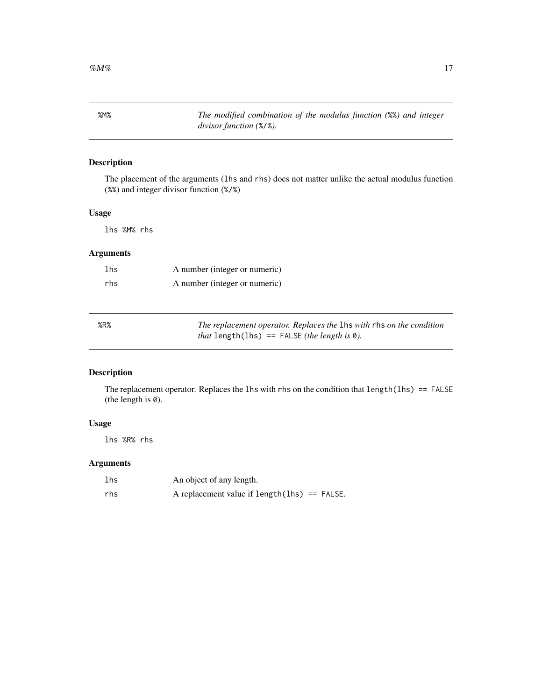<span id="page-16-0"></span>%M% *The modified combination of the modulus function (*%%*) and integer divisor function (*%/%*).*

# Description

The placement of the arguments (lhs and rhs) does not matter unlike the actual modulus function (%%) and integer divisor function (%/%)

# Usage

lhs %M% rhs

# Arguments

| 1 <sub>hs</sub> | A number (integer or numeric) |
|-----------------|-------------------------------|
| rhs             | A number (integer or numeric) |

| %R% | The replacement operator. Replaces the 1hs with rhs on the condition |
|-----|----------------------------------------------------------------------|
|     | <i>that</i> length(lhs) == FALSE ( <i>the length is</i> $\theta$ ).  |

# Description

The replacement operator. Replaces the lhs with rhs on the condition that length(lhs) == FALSE (the length is 0).

# Usage

lhs %R% rhs

# Arguments

| lhs | An object of any length.                        |
|-----|-------------------------------------------------|
| rhs | A replacement value if $length(1hs) == FALSE$ . |